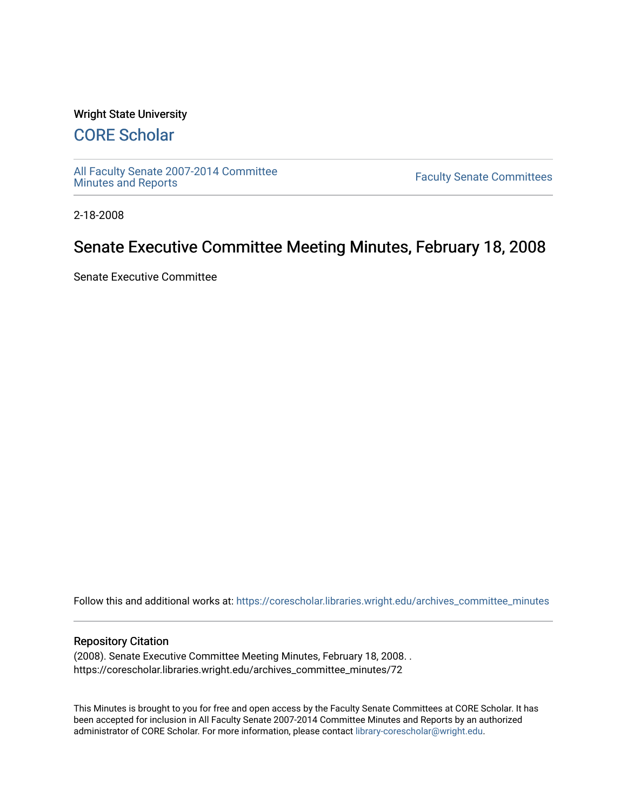## Wright State University

# [CORE Scholar](https://corescholar.libraries.wright.edu/)

[All Faculty Senate 2007-2014 Committee](https://corescholar.libraries.wright.edu/archives_committee_minutes)

**Faculty Senate Committees** 

2-18-2008

# Senate Executive Committee Meeting Minutes, February 18, 2008

Senate Executive Committee

Follow this and additional works at: [https://corescholar.libraries.wright.edu/archives\\_committee\\_minutes](https://corescholar.libraries.wright.edu/archives_committee_minutes?utm_source=corescholar.libraries.wright.edu%2Farchives_committee_minutes%2F72&utm_medium=PDF&utm_campaign=PDFCoverPages) 

#### Repository Citation

(2008). Senate Executive Committee Meeting Minutes, February 18, 2008. . https://corescholar.libraries.wright.edu/archives\_committee\_minutes/72

This Minutes is brought to you for free and open access by the Faculty Senate Committees at CORE Scholar. It has been accepted for inclusion in All Faculty Senate 2007-2014 Committee Minutes and Reports by an authorized administrator of CORE Scholar. For more information, please contact [library-corescholar@wright.edu.](mailto:library-corescholar@wright.edu)